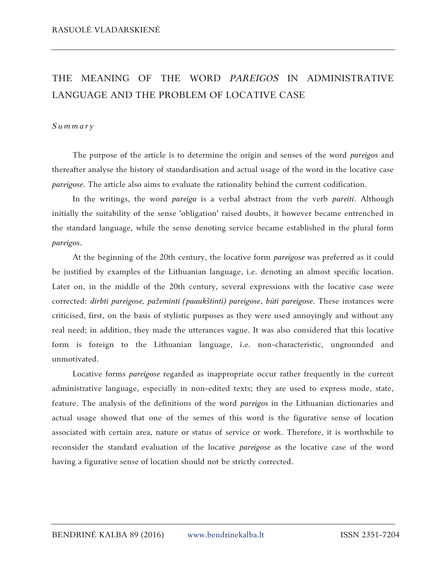## THE MEANING OF THE WORD *PAREIGOS* IN ADMINISTRATIVE LANGUAGE AND THE PROBLEM OF LOCATIVE CASE

## *S u m m a r y*

The purpose of the article is to determine the origin and senses of the word *pareigos* and thereafter analyse the history of standardisation and actual usage of the word in the locative case *pareigose*. The article also aims to evaluate the rationality behind the current codification.

In the writings, the word *pareiga* is a verbal abstract from the verb *pareiti*. Although initially the suitability of the sense 'obligation' raised doubts, it however became entrenched in the standard language, while the sense denoting service became established in the plural form *pareigos*.

At the beginning of the 20th century, the locative form *pareigose* was preferred as it could be justified by examples of the Lithuanian language, i.e. denoting an almost specific location. Later on, in the middle of the 20th century, several expressions with the locative case were corrected: *dirbti pareigose, pažeminti (paaukštinti) pareigose*, *būti pareigose*. These instances were criticised, first, on the basis of stylistic purposes as they were used annoyingly and without any real need; in addition, they made the utterances vague. It was also considered that this locative form is foreign to the Lithuanian language, i.e. non-characteristic, ungrounded and unmotivated.

Locative forms *pareigose* regarded as inappropriate occur rather frequently in the current administrative language, especially in non-edited texts; they are used to express mode, state, feature. The analysis of the definitions of the word *pareigos* in the Lithuanian dictionaries and actual usage showed that one of the semes of this word is the figurative sense of location associated with certain area, nature or status of service or work. Therefore, it is worthwhile to reconsider the standard evaluation of the locative *pareigose* as the locative case of the word having a figurative sense of location should not be strictly corrected.